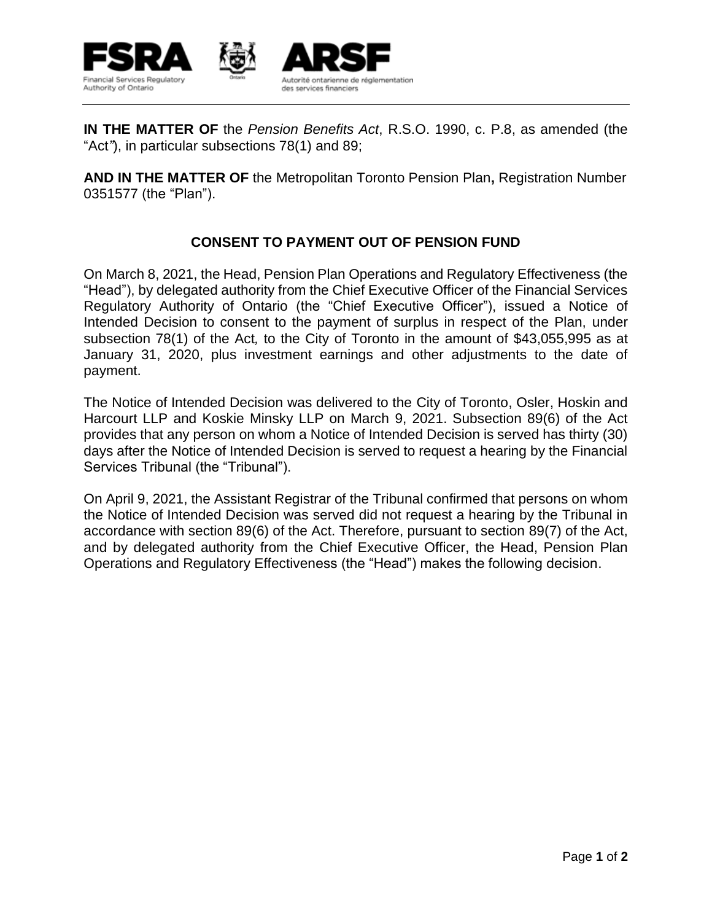

**IN THE MATTER OF** the *Pension Benefits Act*, R.S.O. 1990, c. P.8, as amended (the "Act"), in particular subsections 78(1) and 89;

**AND IN THE MATTER OF** the Metropolitan Toronto Pension Plan**,** Registration Number 0351577 (the "Plan").

## **CONSENT TO PAYMENT OUT OF PENSION FUND**

On March 8, 2021, the Head, Pension Plan Operations and Regulatory Effectiveness (the "Head"), by delegated authority from the Chief Executive Officer of the Financial Services Regulatory Authority of Ontario (the "Chief Executive Officer"), issued a Notice of Intended Decision to consent to the payment of surplus in respect of the Plan, under subsection 78(1) of the Act*,* to the City of Toronto in the amount of \$43,055,995 as at January 31, 2020, plus investment earnings and other adjustments to the date of payment.

The Notice of Intended Decision was delivered to the City of Toronto, Osler, Hoskin and Harcourt LLP and Koskie Minsky LLP on March 9, 2021. Subsection 89(6) of the Act provides that any person on whom a Notice of Intended Decision is served has thirty (30) days after the Notice of Intended Decision is served to request a hearing by the Financial Services Tribunal (the "Tribunal").

On April 9, 2021, the Assistant Registrar of the Tribunal confirmed that persons on whom the Notice of Intended Decision was served did not request a hearing by the Tribunal in accordance with section 89(6) of the Act. Therefore, pursuant to section 89(7) of the Act, and by delegated authority from the Chief Executive Officer, the Head, Pension Plan Operations and Regulatory Effectiveness (the "Head") makes the following decision.